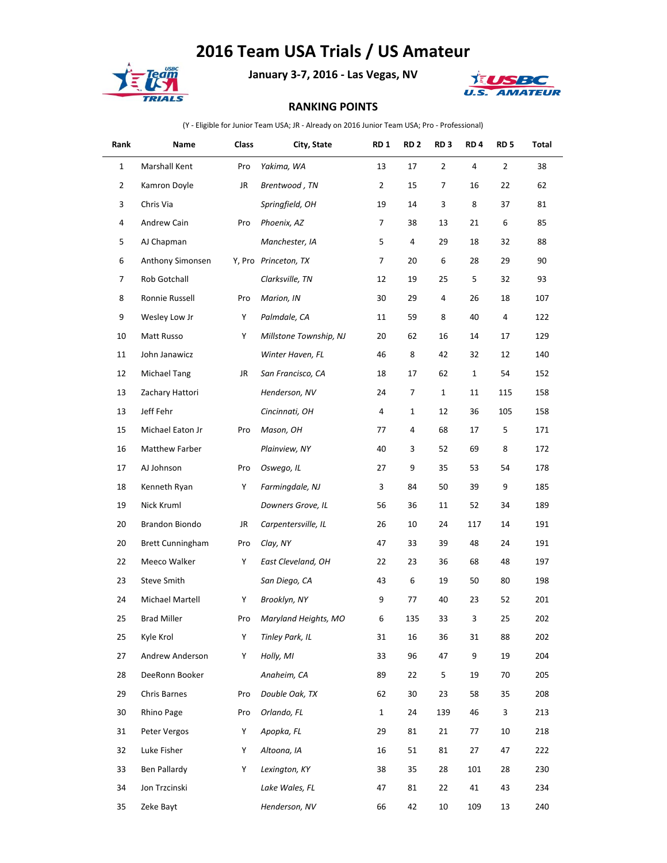## **2016 Team USA Trials / US Amateur**



**January 3-7, 2016 - Las Vegas, NV**



## **RANKING POINTS**

(Y - Eligible for Junior Team USA; JR - Already on 2016 Junior Team USA; Pro - Professional)

| Rank           | Name                    | Class | City, State            | RD <sub>1</sub> | RD <sub>2</sub> | RD <sub>3</sub> | RD <sub>4</sub> | RD <sub>5</sub> | Total |
|----------------|-------------------------|-------|------------------------|-----------------|-----------------|-----------------|-----------------|-----------------|-------|
| $\mathbf{1}$   | Marshall Kent           | Pro   | Yakima, WA             | 13              | 17              | $\overline{2}$  | 4               | $\overline{2}$  | 38    |
| $\overline{2}$ | Kamron Doyle            | JR    | Brentwood, TN          | $\overline{2}$  | 15              | 7               | 16              | 22              | 62    |
| 3              | Chris Via               |       | Springfield, OH        | 19              | 14              | 3               | 8               | 37              | 81    |
| 4              | Andrew Cain             | Pro   | Phoenix, AZ            | 7               | 38              | 13              | 21              | 6               | 85    |
| 5              | AJ Chapman              |       | Manchester, IA         | 5               | 4               | 29              | 18              | 32              | 88    |
| 6              | Anthony Simonsen        |       | Y, Pro Princeton, TX   | 7               | 20              | 6               | 28              | 29              | 90    |
| 7              | Rob Gotchall            |       | Clarksville, TN        | 12              | 19              | 25              | 5               | 32              | 93    |
| 8              | Ronnie Russell          | Pro   | Marion, IN             | 30              | 29              | 4               | 26              | 18              | 107   |
| 9              | Wesley Low Jr           | Y     | Palmdale, CA           | 11              | 59              | 8               | 40              | 4               | 122   |
| 10             | Matt Russo              | Υ     | Millstone Township, NJ | 20              | 62              | 16              | 14              | 17              | 129   |
| 11             | John Janawicz           |       | Winter Haven, FL       | 46              | 8               | 42              | 32              | 12              | 140   |
| 12             | Michael Tang            | JR    | San Francisco, CA      | 18              | 17              | 62              | $\mathbf{1}$    | 54              | 152   |
| 13             | Zachary Hattori         |       | Henderson, NV          | 24              | 7               | $\mathbf{1}$    | 11              | 115             | 158   |
| 13             | Jeff Fehr               |       | Cincinnati, OH         | 4               | 1               | 12              | 36              | 105             | 158   |
| 15             | Michael Eaton Jr        | Pro   | Mason, OH              | 77              | 4               | 68              | 17              | 5               | 171   |
| 16             | Matthew Farber          |       | Plainview, NY          | 40              | 3               | 52              | 69              | 8               | 172   |
| 17             | AJ Johnson              | Pro   | Oswego, IL             | 27              | 9               | 35              | 53              | 54              | 178   |
| 18             | Kenneth Ryan            | Y     | Farmingdale, NJ        | 3               | 84              | 50              | 39              | 9               | 185   |
| 19             | Nick Kruml              |       | Downers Grove, IL      | 56              | 36              | 11              | 52              | 34              | 189   |
| 20             | Brandon Biondo          | JR    | Carpentersville, IL    | 26              | 10              | 24              | 117             | 14              | 191   |
| 20             | <b>Brett Cunningham</b> | Pro   | Clay, NY               | 47              | 33              | 39              | 48              | 24              | 191   |
| 22             | Meeco Walker            | Υ     | East Cleveland, OH     | 22              | 23              | 36              | 68              | 48              | 197   |
| 23             | Steve Smith             |       | San Diego, CA          | 43              | 6               | 19              | 50              | 80              | 198   |
| 24             | Michael Martell         | Y     | Brooklyn, NY           | 9               | 77              | 40              | 23              | 52              | 201   |
| 25             | <b>Brad Miller</b>      | Pro   | Maryland Heights, MO   | 6               | 135             | 33              | 3               | 25              | 202   |
| 25             | Kyle Krol               | Υ     | Tinley Park, IL        | 31              | 16              | 36              | 31              | 88              | 202   |
| 27             | Andrew Anderson         | Υ     | Holly, MI              | 33              | 96              | 47              | 9               | 19              | 204   |
| 28             | DeeRonn Booker          |       | Anaheim, CA            | 89              | 22              | 5               | 19              | 70              | 205   |
| 29             | Chris Barnes            | Pro   | Double Oak, TX         | 62              | 30              | 23              | 58              | 35              | 208   |
| 30             | Rhino Page              | Pro   | Orlando, FL            | $\mathbf{1}$    | 24              | 139             | 46              | 3               | 213   |
| 31             | Peter Vergos            | Y     | Apopka, FL             | 29              | 81              | 21              | 77              | 10              | 218   |
| 32             | Luke Fisher             | Y     | Altoona, IA            | 16              | 51              | 81              | 27              | 47              | 222   |
| 33             | Ben Pallardy            | Y     | Lexington, KY          | 38              | 35              | 28              | 101             | 28              | 230   |
| 34             | Jon Trzcinski           |       | Lake Wales, FL         | 47              | 81              | 22              | 41              | 43              | 234   |
| 35             | Zeke Bayt               |       | Henderson, NV          | 66              | 42              | 10              | 109             | 13              | 240   |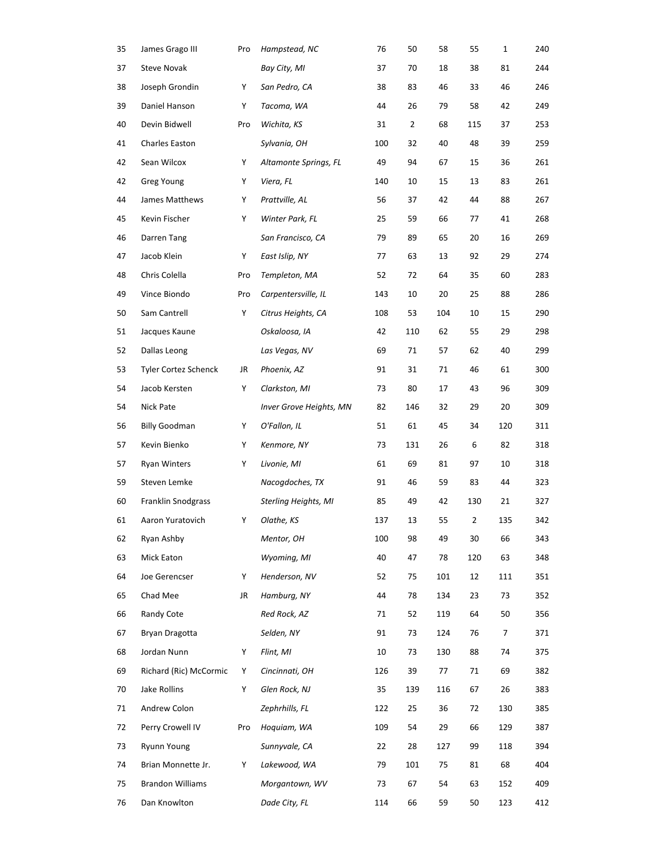| 35 | James Grago III         | Pro | Hampstead, NC               | 76  | 50  | 58  | 55             | $\mathbf 1$ | 240 |
|----|-------------------------|-----|-----------------------------|-----|-----|-----|----------------|-------------|-----|
| 37 | <b>Steve Novak</b>      |     | Bay City, MI                | 37  | 70  | 18  | 38             | 81          | 244 |
| 38 | Joseph Grondin          | Υ   | San Pedro, CA               | 38  | 83  | 46  | 33             | 46          | 246 |
| 39 | Daniel Hanson           | Υ   | Tacoma, WA                  | 44  | 26  | 79  | 58             | 42          | 249 |
| 40 | Devin Bidwell           | Pro | Wichita, KS                 | 31  | 2   | 68  | 115            | 37          | 253 |
| 41 | Charles Easton          |     | Sylvania, OH                | 100 | 32  | 40  | 48             | 39          | 259 |
| 42 | Sean Wilcox             | Y   | Altamonte Springs, FL       | 49  | 94  | 67  | 15             | 36          | 261 |
| 42 | Greg Young              | Y   | Viera, FL                   | 140 | 10  | 15  | 13             | 83          | 261 |
| 44 | James Matthews          | Y   | Prattville, AL              | 56  | 37  | 42  | 44             | 88          | 267 |
| 45 | Kevin Fischer           | Y   | Winter Park, FL             | 25  | 59  | 66  | 77             | 41          | 268 |
| 46 | Darren Tang             |     | San Francisco, CA           | 79  | 89  | 65  | 20             | 16          | 269 |
| 47 | Jacob Klein             | Υ   | East Islip, NY              | 77  | 63  | 13  | 92             | 29          | 274 |
| 48 | Chris Colella           | Pro | Templeton, MA               | 52  | 72  | 64  | 35             | 60          | 283 |
| 49 | Vince Biondo            | Pro | Carpentersville, IL         | 143 | 10  | 20  | 25             | 88          | 286 |
| 50 | Sam Cantrell            | Υ   | Citrus Heights, CA          | 108 | 53  | 104 | 10             | 15          | 290 |
| 51 | Jacques Kaune           |     | Oskaloosa, IA               | 42  | 110 | 62  | 55             | 29          | 298 |
| 52 | Dallas Leong            |     | Las Vegas, NV               | 69  | 71  | 57  | 62             | 40          | 299 |
| 53 | Tyler Cortez Schenck    | JR  | Phoenix, AZ                 | 91  | 31  | 71  | 46             | 61          | 300 |
| 54 | Jacob Kersten           | Y   | Clarkston, MI               | 73  | 80  | 17  | 43             | 96          | 309 |
| 54 | Nick Pate               |     | Inver Grove Heights, MN     | 82  | 146 | 32  | 29             | 20          | 309 |
| 56 | <b>Billy Goodman</b>    | Y   | O'Fallon, IL                | 51  | 61  | 45  | 34             | 120         | 311 |
| 57 | Kevin Bienko            | Y   | Kenmore, NY                 | 73  | 131 | 26  | 6              | 82          | 318 |
| 57 | <b>Ryan Winters</b>     | Υ   | Livonie, MI                 | 61  | 69  | 81  | 97             | 10          | 318 |
| 59 | Steven Lemke            |     | Nacogdoches, TX             | 91  | 46  | 59  | 83             | 44          | 323 |
| 60 | Franklin Snodgrass      |     | <b>Sterling Heights, MI</b> | 85  | 49  | 42  | 130            | 21          | 327 |
| 61 | Aaron Yuratovich        | Y   | Olathe, KS                  | 137 | 13  | 55  | $\overline{2}$ | 135         | 342 |
| 62 | Ryan Ashby              |     | Mentor, OH                  | 100 | 98  | 49  | $30\,$         | 66          | 343 |
| 63 | Mick Eaton              |     | Wyoming, MI                 | 40  | 47  | 78  | 120            | 63          | 348 |
| 64 | Joe Gerencser           | Υ   | Henderson, NV               | 52  | 75  | 101 | 12             | 111         | 351 |
| 65 | Chad Mee                | JR  | Hamburg, NY                 | 44  | 78  | 134 | 23             | 73          | 352 |
| 66 | Randy Cote              |     | Red Rock, AZ                | 71  | 52  | 119 | 64             | 50          | 356 |
| 67 | Bryan Dragotta          |     | Selden, NY                  | 91  | 73  | 124 | 76             | 7           | 371 |
| 68 | Jordan Nunn             | Y   | Flint, MI                   | 10  | 73  | 130 | 88             | 74          | 375 |
| 69 | Richard (Ric) McCormic  | Y   | Cincinnati, OH              | 126 | 39  | 77  | 71             | 69          | 382 |
| 70 | Jake Rollins            | Y   | Glen Rock, NJ               | 35  | 139 | 116 | 67             | 26          | 383 |
| 71 | Andrew Colon            |     | Zephrhills, FL              | 122 | 25  | 36  | 72             | 130         | 385 |
| 72 | Perry Crowell IV        | Pro | Hoquiam, WA                 | 109 | 54  | 29  | 66             | 129         | 387 |
| 73 | <b>Ryunn Young</b>      |     | Sunnyvale, CA               | 22  | 28  | 127 | 99             | 118         | 394 |
| 74 | Brian Monnette Jr.      | Y   | Lakewood, WA                | 79  | 101 | 75  | 81             | 68          | 404 |
| 75 | <b>Brandon Williams</b> |     | Morgantown, WV              | 73  | 67  | 54  | 63             | 152         | 409 |
| 76 | Dan Knowlton            |     | Dade City, FL               | 114 | 66  | 59  | 50             | 123         | 412 |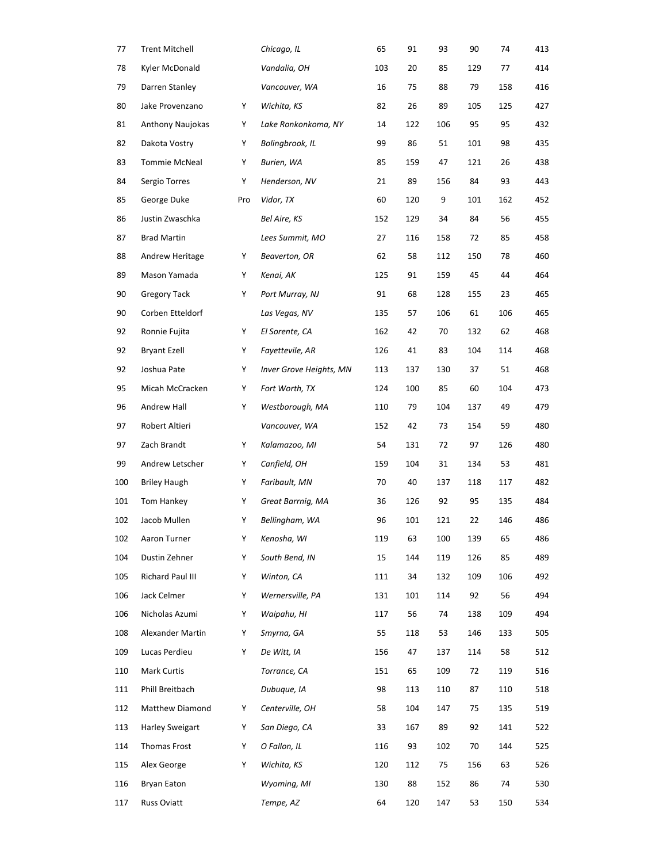| 77  | <b>Trent Mitchell</b>   |     | Chicago, IL             | 65  | 91  | 93  | 90  | 74  | 413 |
|-----|-------------------------|-----|-------------------------|-----|-----|-----|-----|-----|-----|
| 78  | Kyler McDonald          |     | Vandalia, OH            | 103 | 20  | 85  | 129 | 77  | 414 |
| 79  | Darren Stanley          |     | Vancouver, WA           | 16  | 75  | 88  | 79  | 158 | 416 |
| 80  | Jake Provenzano         | Y   | Wichita, KS             | 82  | 26  | 89  | 105 | 125 | 427 |
| 81  | <b>Anthony Naujokas</b> | Y   | Lake Ronkonkoma, NY     | 14  | 122 | 106 | 95  | 95  | 432 |
| 82  | Dakota Vostry           | Y   | Bolingbrook, IL         | 99  | 86  | 51  | 101 | 98  | 435 |
| 83  | Tommie McNeal           | Y   | Burien, WA              | 85  | 159 | 47  | 121 | 26  | 438 |
| 84  | Sergio Torres           | Υ   | Henderson, NV           | 21  | 89  | 156 | 84  | 93  | 443 |
| 85  | George Duke             | Pro | Vidor, TX               | 60  | 120 | 9   | 101 | 162 | 452 |
| 86  | Justin Zwaschka         |     | Bel Aire, KS            | 152 | 129 | 34  | 84  | 56  | 455 |
| 87  | <b>Brad Martin</b>      |     | Lees Summit, MO         | 27  | 116 | 158 | 72  | 85  | 458 |
| 88  | Andrew Heritage         | Υ   | Beaverton, OR           | 62  | 58  | 112 | 150 | 78  | 460 |
| 89  | Mason Yamada            | Y   | Kenai, AK               | 125 | 91  | 159 | 45  | 44  | 464 |
| 90  | <b>Gregory Tack</b>     | Y   | Port Murray, NJ         | 91  | 68  | 128 | 155 | 23  | 465 |
| 90  | Corben Etteldorf        |     | Las Vegas, NV           | 135 | 57  | 106 | 61  | 106 | 465 |
| 92  | Ronnie Fujita           | Y   | El Sorente, CA          | 162 | 42  | 70  | 132 | 62  | 468 |
| 92  | <b>Bryant Ezell</b>     | Υ   | Fayettevile, AR         | 126 | 41  | 83  | 104 | 114 | 468 |
| 92  | Joshua Pate             | Y   | Inver Grove Heights, MN | 113 | 137 | 130 | 37  | 51  | 468 |
| 95  | Micah McCracken         | Y   | Fort Worth, TX          | 124 | 100 | 85  | 60  | 104 | 473 |
| 96  | Andrew Hall             | Y   | Westborough, MA         | 110 | 79  | 104 | 137 | 49  | 479 |
| 97  | Robert Altieri          |     | Vancouver, WA           | 152 | 42  | 73  | 154 | 59  | 480 |
| 97  | Zach Brandt             | Υ   | Kalamazoo, MI           | 54  | 131 | 72  | 97  | 126 | 480 |
| 99  | Andrew Letscher         | Y   | Canfield, OH            | 159 | 104 | 31  | 134 | 53  | 481 |
| 100 | <b>Briley Haugh</b>     | Y   | Faribault, MN           | 70  | 40  | 137 | 118 | 117 | 482 |
| 101 | Tom Hankey              | Y   | Great Barrnig, MA       | 36  | 126 | 92  | 95  | 135 | 484 |
| 102 | Jacob Mullen            | Y   | Bellingham, WA          | 96  | 101 | 121 | 22  | 146 | 486 |
| 102 | Aaron Turner            | Y   | Kenosha, WI             | 119 | 63  | 100 | 139 | 65  | 486 |
| 104 | Dustin Zehner           | Y   | South Bend, IN          | 15  | 144 | 119 | 126 | 85  | 489 |
| 105 | Richard Paul III        | Y   | Winton, CA              | 111 | 34  | 132 | 109 | 106 | 492 |
| 106 | Jack Celmer             | Υ   | Wernersville, PA        | 131 | 101 | 114 | 92  | 56  | 494 |
| 106 | Nicholas Azumi          | Υ   | Waipahu, HI             | 117 | 56  | 74  | 138 | 109 | 494 |
| 108 | Alexander Martin        | Y   | Smyrna, GA              | 55  | 118 | 53  | 146 | 133 | 505 |
| 109 | Lucas Perdieu           | Y   | De Witt, IA             | 156 | 47  | 137 | 114 | 58  | 512 |
| 110 | Mark Curtis             |     | Torrance, CA            | 151 | 65  | 109 | 72  | 119 | 516 |
| 111 | Phill Breitbach         |     | Dubuque, IA             | 98  | 113 | 110 | 87  | 110 | 518 |
| 112 | Matthew Diamond         | Y   | Centerville, OH         | 58  | 104 | 147 | 75  | 135 | 519 |
| 113 | <b>Harley Sweigart</b>  | Y   | San Diego, CA           | 33  | 167 | 89  | 92  | 141 | 522 |
| 114 | Thomas Frost            | Y   | O Fallon, IL            | 116 | 93  | 102 | 70  | 144 | 525 |
| 115 | Alex George             | Y   | Wichita, KS             | 120 | 112 | 75  | 156 | 63  | 526 |
| 116 | <b>Bryan Eaton</b>      |     | Wyoming, MI             | 130 | 88  | 152 | 86  | 74  | 530 |
| 117 | Russ Oviatt             |     | Tempe, AZ               | 64  | 120 | 147 | 53  | 150 | 534 |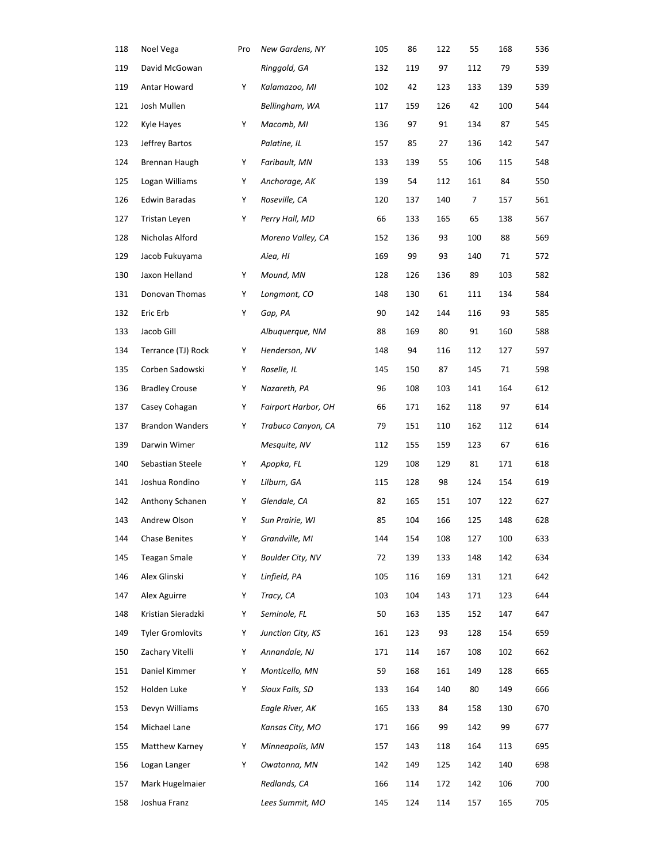| 118 | Noel Vega               | Pro | New Gardens, NY            | 105 | 86  | 122 | 55  | 168 | 536 |
|-----|-------------------------|-----|----------------------------|-----|-----|-----|-----|-----|-----|
| 119 | David McGowan           |     | Ringgold, GA               | 132 | 119 | 97  | 112 | 79  | 539 |
| 119 | Antar Howard            | Y   | Kalamazoo, MI              | 102 | 42  | 123 | 133 | 139 | 539 |
| 121 | Josh Mullen             |     | Bellingham, WA             | 117 | 159 | 126 | 42  | 100 | 544 |
| 122 | Kyle Hayes              | Y   | Macomb, MI                 | 136 | 97  | 91  | 134 | 87  | 545 |
| 123 | Jeffrey Bartos          |     | Palatine, IL               | 157 | 85  | 27  | 136 | 142 | 547 |
| 124 | Brennan Haugh           | Y   | Faribault, MN              | 133 | 139 | 55  | 106 | 115 | 548 |
| 125 | Logan Williams          | Y   | Anchorage, AK              | 139 | 54  | 112 | 161 | 84  | 550 |
| 126 | Edwin Baradas           | Y   | Roseville, CA              | 120 | 137 | 140 | 7   | 157 | 561 |
| 127 | Tristan Leyen           | Y   | Perry Hall, MD             | 66  | 133 | 165 | 65  | 138 | 567 |
| 128 | Nicholas Alford         |     | Moreno Valley, CA          | 152 | 136 | 93  | 100 | 88  | 569 |
| 129 | Jacob Fukuyama          |     | Aiea, HI                   | 169 | 99  | 93  | 140 | 71  | 572 |
| 130 | Jaxon Helland           | Y   | Mound, MN                  | 128 | 126 | 136 | 89  | 103 | 582 |
| 131 | Donovan Thomas          | Υ   | Longmont, CO               | 148 | 130 | 61  | 111 | 134 | 584 |
| 132 | Eric Erb                | Y   | Gap, PA                    | 90  | 142 | 144 | 116 | 93  | 585 |
| 133 | Jacob Gill              |     | Albuquerque, NM            | 88  | 169 | 80  | 91  | 160 | 588 |
| 134 | Terrance (TJ) Rock      | Y   | Henderson, NV              | 148 | 94  | 116 | 112 | 127 | 597 |
| 135 | Corben Sadowski         | Y   | Roselle, IL                | 145 | 150 | 87  | 145 | 71  | 598 |
| 136 | <b>Bradley Crouse</b>   | Y   | Nazareth, PA               | 96  | 108 | 103 | 141 | 164 | 612 |
| 137 | Casey Cohagan           | Y   | <b>Fairport Harbor, OH</b> | 66  | 171 | 162 | 118 | 97  | 614 |
| 137 | <b>Brandon Wanders</b>  | Υ   | Trabuco Canyon, CA         | 79  | 151 | 110 | 162 | 112 | 614 |
| 139 | Darwin Wimer            |     | Mesquite, NV               | 112 | 155 | 159 | 123 | 67  | 616 |
| 140 | Sebastian Steele        | Υ   | Apopka, FL                 | 129 | 108 | 129 | 81  | 171 | 618 |
| 141 | Joshua Rondino          | Υ   | Lilburn, GA                | 115 | 128 | 98  | 124 | 154 | 619 |
| 142 | Anthony Schanen         | Y   | Glendale, CA               | 82  | 165 | 151 | 107 | 122 | 627 |
| 143 | Andrew Olson            | Υ   | Sun Prairie, WI            | 85  | 104 | 166 | 125 | 148 | 628 |
| 144 | Chase Benites           | Υ   | Grandville, MI             | 144 | 154 | 108 | 127 | 100 | 633 |
| 145 | <b>Teagan Smale</b>     | Y   | <b>Boulder City, NV</b>    | 72  | 139 | 133 | 148 | 142 | 634 |
| 146 | Alex Glinski            | Υ   | Linfield, PA               | 105 | 116 | 169 | 131 | 121 | 642 |
| 147 | Alex Aguirre            | Y   | Tracy, CA                  | 103 | 104 | 143 | 171 | 123 | 644 |
| 148 | Kristian Sieradzki      | Υ   | Seminole, FL               | 50  | 163 | 135 | 152 | 147 | 647 |
| 149 | <b>Tyler Gromlovits</b> | Y   | Junction City, KS          | 161 | 123 | 93  | 128 | 154 | 659 |
| 150 | Zachary Vitelli         | Y   | Annandale, NJ              | 171 | 114 | 167 | 108 | 102 | 662 |
| 151 | Daniel Kimmer           | Y   | Monticello, MN             | 59  | 168 | 161 | 149 | 128 | 665 |
| 152 | Holden Luke             | Υ   | Sioux Falls, SD            | 133 | 164 | 140 | 80  | 149 | 666 |
| 153 | Devyn Williams          |     | Eagle River, AK            | 165 | 133 | 84  | 158 | 130 | 670 |
| 154 | Michael Lane            |     | Kansas City, MO            | 171 | 166 | 99  | 142 | 99  | 677 |
| 155 | Matthew Karney          | Y   | Minneapolis, MN            | 157 | 143 | 118 | 164 | 113 | 695 |
| 156 | Logan Langer            | Υ   | Owatonna, MN               | 142 | 149 | 125 | 142 | 140 | 698 |
| 157 | Mark Hugelmaier         |     | Redlands, CA               | 166 | 114 | 172 | 142 | 106 | 700 |
| 158 | Joshua Franz            |     | Lees Summit, MO            | 145 | 124 | 114 | 157 | 165 | 705 |